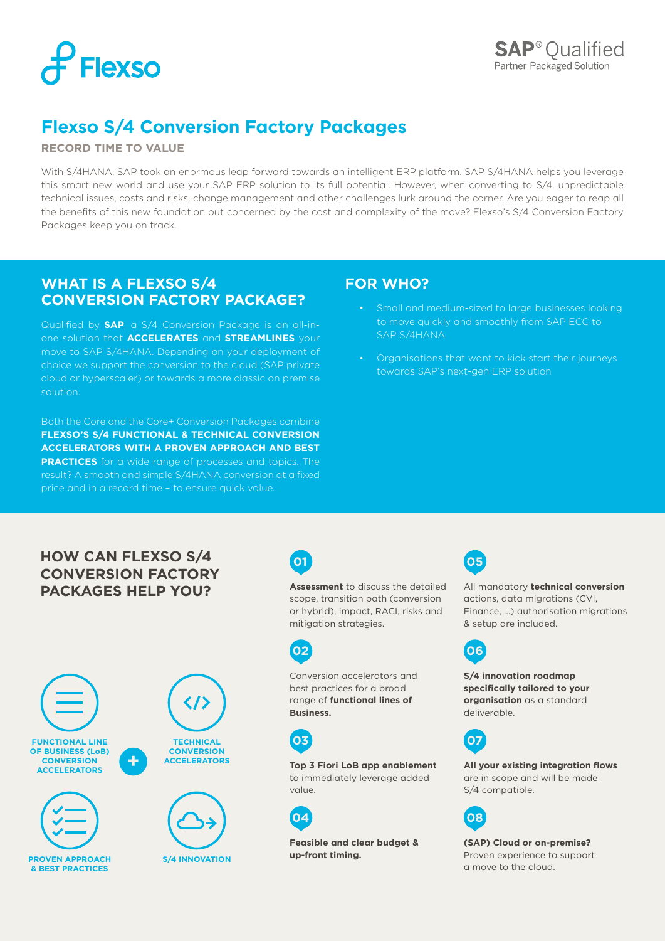

## **Flexso S/4 Conversion Factory Packages**

#### **RECORD TIME TO VALUE**

With S/4HANA, SAP took an enormous leap forward towards an intelligent ERP platform. SAP S/4HANA helps you leverage this smart new world and use your SAP ERP solution to its full potential. However, when converting to S/4, unpredictable technical issues, costs and risks, change management and other challenges lurk around the corner. Are you eager to reap all the benefits of this new foundation but concerned by the cost and complexity of the move? Flexso's S/4 Conversion Factory Packages keep you on track.

## **WHAT IS A FLEXSO S/4 CONVERSION FACTORY PACKAGE?**

Qualified by **SAP**, a S/4 Conversion Package is an all-inone solution that **ACCELERATES** and **STREAMLINES** your move to SAP S/4HANA. Depending on your deployment of choice we support the conversion to the cloud (SAP private cloud or hyperscaler) or towards a more classic on premise solution.

Both the Core and the Core+ Conversion Packages combine **FLEXSO'S S/4 FUNCTIONAL & TECHNICAL CONVERSION ACCELERATORS WITH A PROVEN APPROACH AND BEST PRACTICES** for a wide range of processes and topics. The result? A smooth and simple S/4HANA conversion at a fixed price and in a record time – to ensure quick value.

## **FOR WHO?**

- Small and medium-sized to large businesses looking SAP S/4HANA
- Organisations that want to kick start their journeys towards SAP's next-gen ERP solution

## **HOW CAN FLEXSO S/4  05 CONVERSION FACTORY PACKAGES HELP YOU?**





**Assessment** to discuss the detailed scope, transition path (conversion or hybrid), impact, RACI, risks and mitigation strategies.



Conversion accelerators and best practices for a broad range of **functional lines of Business.**



**Top 3 Fiori LoB app enablement** to immediately leverage added value.



**Feasible and clear budget & up-front timing.**



All mandatory **technical conversion** actions, data migrations (CVI, Finance, …) authorisation migrations & setup are included.



**S/4 innovation roadmap specifically tailored to your organisation** as a standard deliverable.



**All your existing integration flows** are in scope and will be made S/4 compatible.



**(SAP) Cloud or on-premise?** Proven experience to support a move to the cloud.